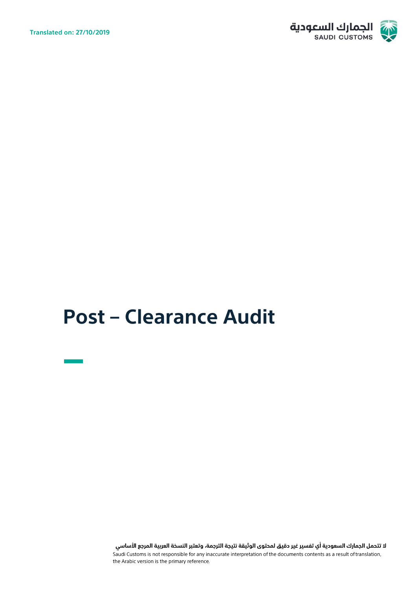

# **Post - Clearance Audit**

لا تتحمل الجمارك السعودية أي تفسير غير دقيق لمحتوى الوثيقة نتيجة الترجمة، وتعتبر النسخة العربية المرجع الأساسي andi Customs is not responsible for any inaccurate interpretation of the documents contents as a result of translation, the Arabic version is the primary reference.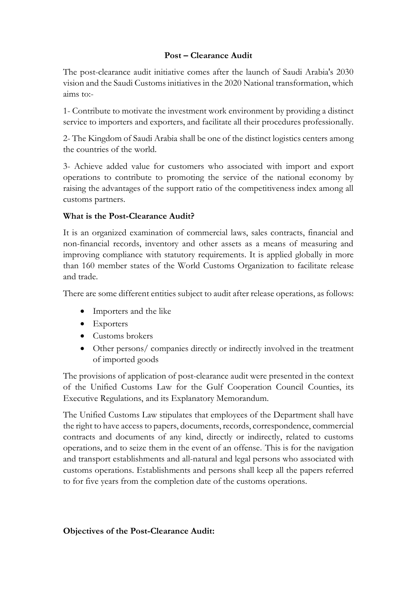#### **Post – Clearance Audit**

The post-clearance audit initiative comes after the launch of Saudi Arabia's 2030 vision and the Saudi Customs initiatives in the 2020 National transformation, which aims to:-

1- Contribute to motivate the investment work environment by providing a distinct service to importers and exporters, and facilitate all their procedures professionally.

2- The Kingdom of Saudi Arabia shall be one of the distinct logistics centers among the countries of the world.

3- Achieve added value for customers who associated with import and export operations to contribute to promoting the service of the national economy by raising the advantages of the support ratio of the competitiveness index among all customs partners.

## **What is the Post-Clearance Audit?**

It is an organized examination of commercial laws, sales contracts, financial and non-financial records, inventory and other assets as a means of measuring and improving compliance with statutory requirements. It is applied globally in more than 160 member states of the World Customs Organization to facilitate release and trade.

There are some different entities subject to audit after release operations, as follows:

- Importers and the like
- Exporters
- Customs brokers
- Other persons/ companies directly or indirectly involved in the treatment of imported goods

The provisions of application of post-clearance audit were presented in the context of the Unified Customs Law for the Gulf Cooperation Council Counties, its Executive Regulations, and its Explanatory Memorandum.

The Unified Customs Law stipulates that employees of the Department shall have the right to have access to papers, documents, records, correspondence, commercial contracts and documents of any kind, directly or indirectly, related to customs operations, and to seize them in the event of an offense. This is for the navigation and transport establishments and all-natural and legal persons who associated with customs operations. Establishments and persons shall keep all the papers referred to for five years from the completion date of the customs operations.

#### **Objectives of the Post-Clearance Audit:**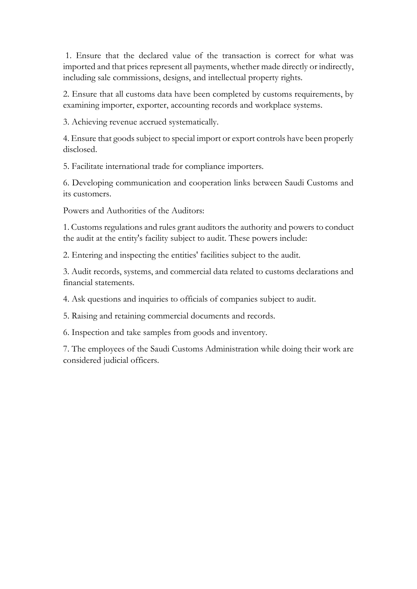1. Ensure that the declared value of the transaction is correct for what was imported and that prices represent all payments, whether made directly or indirectly, including sale commissions, designs, and intellectual property rights.

2. Ensure that all customs data have been completed by customs requirements, by examining importer, exporter, accounting records and workplace systems.

3. Achieving revenue accrued systematically.

4. Ensure that goods subject to special import or export controls have been properly disclosed.

5. Facilitate international trade for compliance importers.

6. Developing communication and cooperation links between Saudi Customs and its customers.

Powers and Authorities of the Auditors:

1. Customs regulations and rules grant auditors the authority and powers to conduct the audit at the entity's facility subject to audit. These powers include:

2. Entering and inspecting the entities' facilities subject to the audit.

3. Audit records, systems, and commercial data related to customs declarations and financial statements.

4. Ask questions and inquiries to officials of companies subject to audit.

5. Raising and retaining commercial documents and records.

6. Inspection and take samples from goods and inventory.

7. The employees of the Saudi Customs Administration while doing their work are considered judicial officers.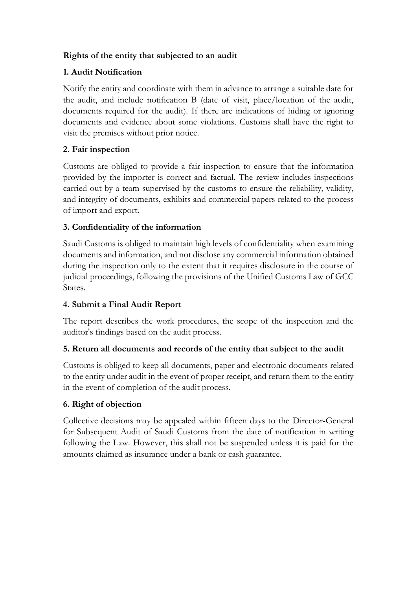## **Rights of the entity that subjected to an audit**

## **1. Audit Notification**

Notify the entity and coordinate with them in advance to arrange a suitable date for the audit, and include notification B (date of visit, place/location of the audit, documents required for the audit). If there are indications of hiding or ignoring documents and evidence about some violations. Customs shall have the right to visit the premises without prior notice.

## **2. Fair inspection**

Customs are obliged to provide a fair inspection to ensure that the information provided by the importer is correct and factual. The review includes inspections carried out by a team supervised by the customs to ensure the reliability, validity, and integrity of documents, exhibits and commercial papers related to the process of import and export.

## **3. Confidentiality of the information**

Saudi Customs is obliged to maintain high levels of confidentiality when examining documents and information, and not disclose any commercial information obtained during the inspection only to the extent that it requires disclosure in the course of judicial proceedings, following the provisions of the Unified Customs Law of GCC States.

# **4. Submit a Final Audit Report**

The report describes the work procedures, the scope of the inspection and the auditor's findings based on the audit process.

#### **5. Return all documents and records of the entity that subject to the audit**

Customs is obliged to keep all documents, paper and electronic documents related to the entity under audit in the event of proper receipt, and return them to the entity in the event of completion of the audit process.

# **6. Right of objection**

Collective decisions may be appealed within fifteen days to the Director-General for Subsequent Audit of Saudi Customs from the date of notification in writing following the Law. However, this shall not be suspended unless it is paid for the amounts claimed as insurance under a bank or cash guarantee.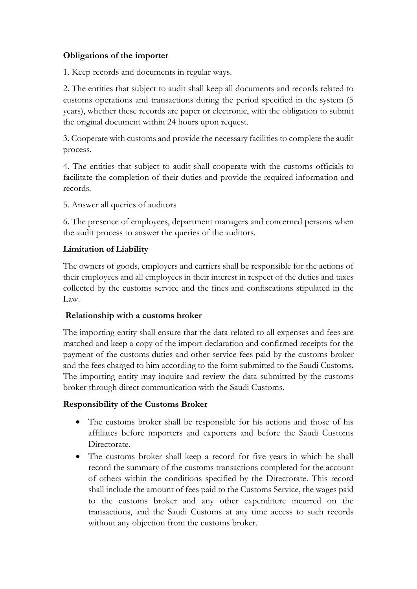## **Obligations of the importer**

1. Keep records and documents in regular ways.

2. The entities that subject to audit shall keep all documents and records related to customs operations and transactions during the period specified in the system (5 years), whether these records are paper or electronic, with the obligation to submit the original document within 24 hours upon request.

3. Cooperate with customs and provide the necessary facilities to complete the audit process.

4. The entities that subject to audit shall cooperate with the customs officials to facilitate the completion of their duties and provide the required information and records.

5. Answer all queries of auditors

6. The presence of employees, department managers and concerned persons when the audit process to answer the queries of the auditors.

## **Limitation of Liability**

The owners of goods, employers and carriers shall be responsible for the actions of their employees and all employees in their interest in respect of the duties and taxes collected by the customs service and the fines and confiscations stipulated in the Law.

#### **Relationship with a customs broker**

The importing entity shall ensure that the data related to all expenses and fees are matched and keep a copy of the import declaration and confirmed receipts for the payment of the customs duties and other service fees paid by the customs broker and the fees charged to him according to the form submitted to the Saudi Customs. The importing entity may inquire and review the data submitted by the customs broker through direct communication with the Saudi Customs.

# **Responsibility of the Customs Broker**

- The customs broker shall be responsible for his actions and those of his affiliates before importers and exporters and before the Saudi Customs Directorate.
- The customs broker shall keep a record for five years in which he shall record the summary of the customs transactions completed for the account of others within the conditions specified by the Directorate. This record shall include the amount of fees paid to the Customs Service, the wages paid to the customs broker and any other expenditure incurred on the transactions, and the Saudi Customs at any time access to such records without any objection from the customs broker.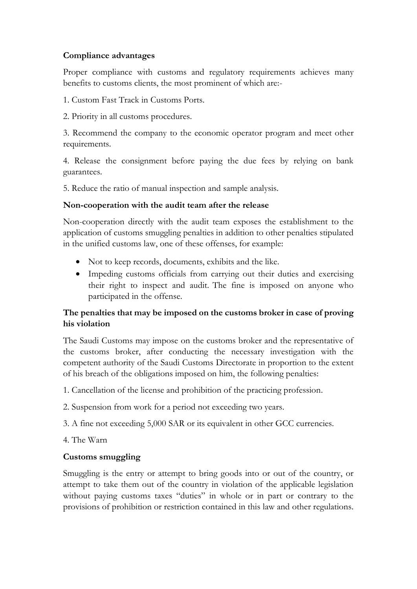#### **Compliance advantages**

Proper compliance with customs and regulatory requirements achieves many benefits to customs clients, the most prominent of which are:-

1. Custom Fast Track in Customs Ports.

2. Priority in all customs procedures.

3. Recommend the company to the economic operator program and meet other requirements.

4. Release the consignment before paying the due fees by relying on bank guarantees.

5. Reduce the ratio of manual inspection and sample analysis.

#### **Non-cooperation with the audit team after the release**

Non-cooperation directly with the audit team exposes the establishment to the application of customs smuggling penalties in addition to other penalties stipulated in the unified customs law, one of these offenses, for example:

- Not to keep records, documents, exhibits and the like.
- Impeding customs officials from carrying out their duties and exercising their right to inspect and audit. The fine is imposed on anyone who participated in the offense.

## **The penalties that may be imposed on the customs broker in case of proving his violation**

The Saudi Customs may impose on the customs broker and the representative of the customs broker, after conducting the necessary investigation with the competent authority of the Saudi Customs Directorate in proportion to the extent of his breach of the obligations imposed on him, the following penalties:

1. Cancellation of the license and prohibition of the practicing profession.

2. Suspension from work for a period not exceeding two years.

3. A fine not exceeding 5,000 SAR or its equivalent in other GCC currencies.

4. The Warn

#### **Customs smuggling**

Smuggling is the entry or attempt to bring goods into or out of the country, or attempt to take them out of the country in violation of the applicable legislation without paying customs taxes "duties" in whole or in part or contrary to the provisions of prohibition or restriction contained in this law and other regulations.